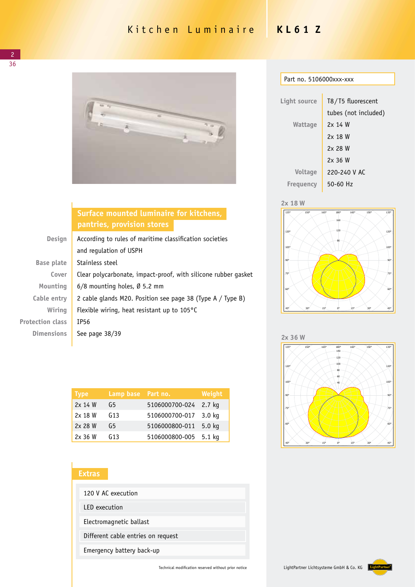# Kitchen Luminaire **KL61 Z**



## **Surface mounted luminaire for kitchens, pantries, provision stores**

| Design                  | According to rules of maritime classification societies        |  |
|-------------------------|----------------------------------------------------------------|--|
|                         | and regulation of USPH                                         |  |
| Base plate              | Stainless steel                                                |  |
| Cover                   | Clear polycarbonate, impact-proof, with silicone rubber gasket |  |
| Mounting                | $6/8$ mounting holes, Ø 5.2 mm                                 |  |
| Cable entry             | 2 cable glands M20. Position see page 38 (Type A / Type B)     |  |
| Wiring                  | Flexible wiring, heat resistant up to $105^{\circ}$ C          |  |
| <b>Protection class</b> | IP56                                                           |  |
| <b>Dimensions</b>       | See page 38/39                                                 |  |
|                         |                                                                |  |

| <b>Type</b> | Lamp base Part no. |                | Weight            |
|-------------|--------------------|----------------|-------------------|
| 2x 14 W     | G5                 | 5106000700-024 | 2.7 kg            |
| 2x 18 W     | G13                | 5106000700-017 | 3.0 <sub>kq</sub> |
| 2x 28 W     | G5                 | 5106000800-011 | $5.0$ kg          |
| 2x 36 W     | G13                | 5106000800-005 | $5.1$ kg          |

### **Extras**

| 120 V AC execution                 |  |  |
|------------------------------------|--|--|
| LED execution                      |  |  |
| Electromagnetic ballast            |  |  |
| Different cable entries on request |  |  |
| Emergency battery back-up          |  |  |

| Part no. 5106000xxx-xxx |  |
|-------------------------|--|
|                         |  |

| Light source     | T8/T5 fluorescent    |
|------------------|----------------------|
|                  | tubes (not included) |
| Wattage          | 2x 14 W              |
|                  | 2x 18 W              |
|                  | 2x 28 W              |
|                  | $2x$ 36 W            |
| <b>Voltage</b>   | 220-240 V AC         |
| <b>Frequency</b> | $50 - 60$ Hz         |
|                  |                      |







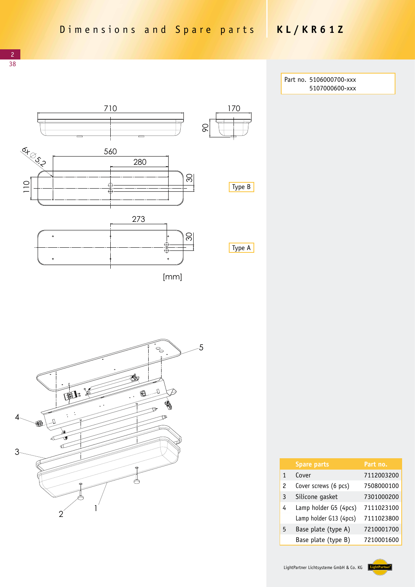> Part no. 5106000700-xxx 5107000600-xxx





|               | <b>Spare parts</b>     | Part no.   |
|---------------|------------------------|------------|
| 1             | Cover                  | 7112003200 |
| $\mathcal{P}$ | Cover screws (6 pcs)   | 7508000100 |
| 3             | Silicone gasket        | 7301000200 |
| 4             | Lamp holder G5 (4pcs)  | 7111023100 |
|               | Lamp holder G13 (4pcs) | 7111023800 |
| 5             | Base plate (type A)    | 7210001700 |
|               | Base plate (type B)    | 7210001600 |